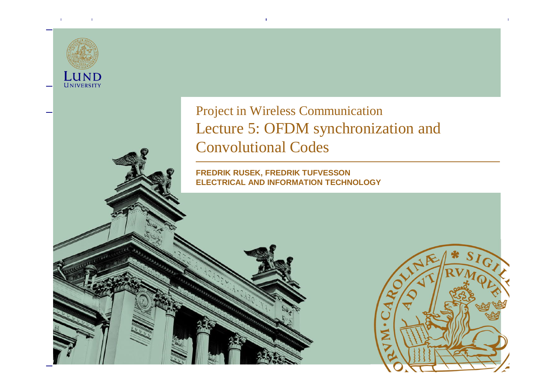LUND UNIVERSITY

#### Project in Wireless Communication Lecture 5: OFDM synchronization and Convolutional Codes

**FREDRIK RUSEK, FREDRIK TUFVESSON ELECTRICAL AND INFORMATION TECHNOLOGY**

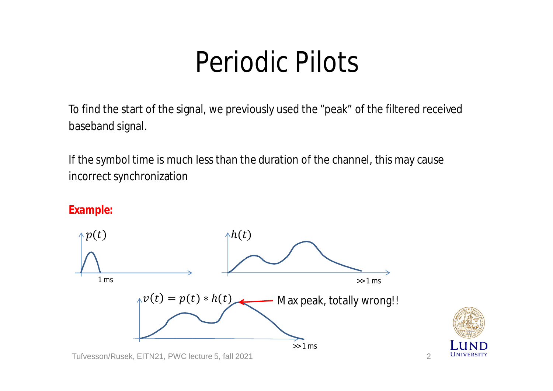To find the start of the signal, we previously used the "peak" of the filtered received baseband signal.

If the symbol time is much less than the duration of the channel, this may cause incorrect synchronization

**Example:**

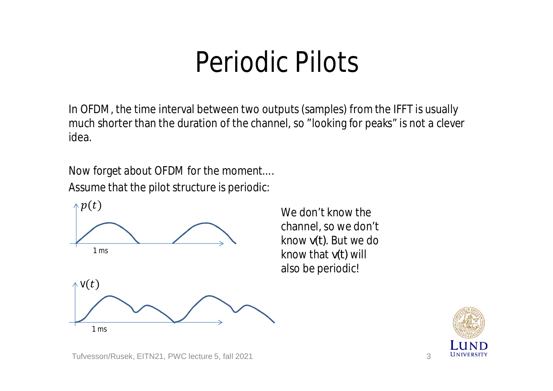In OFDM, the time interval between two outputs (samples) from the IFFT is usually much shorter than the duration of the channel, so "looking for peaks" is not a clever idea.

Now forget about OFDM for the moment.... Assume that the pilot structure is periodic:



channel, so we don't know *v(t)*. But we do know that *v(t)* will also be periodic!

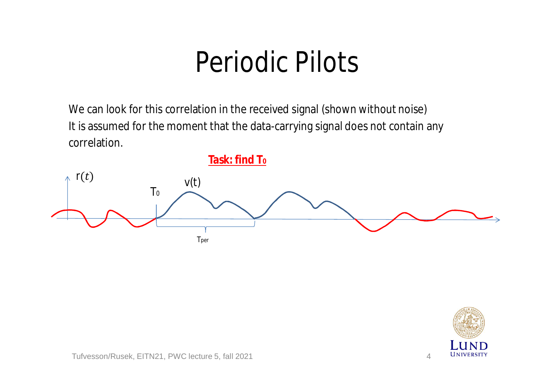We can look for this correlation in the received signal (shown without noise) It is assumed for the moment that the data-carrying signal does not contain any correlation.



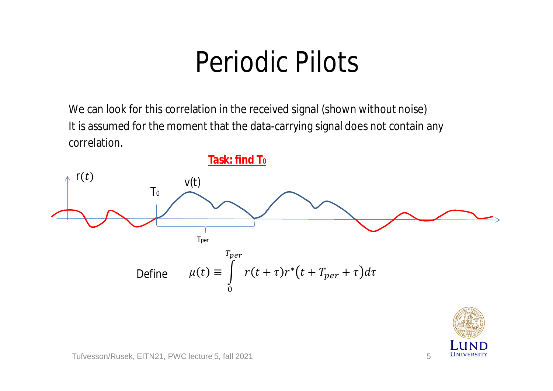We can look for this correlation in the received signal (shown without noise) It is assumed for the moment that the data-carrying signal does not contain any correlation.



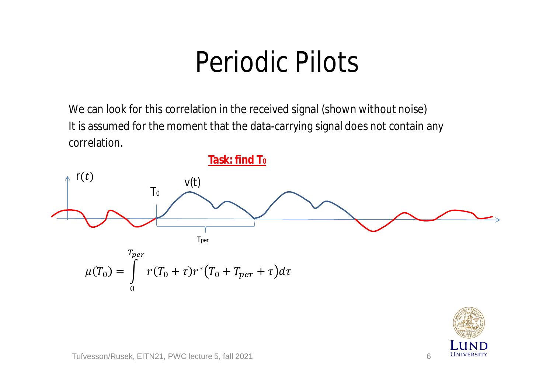We can look for this correlation in the received signal (shown without noise) It is assumed for the moment that the data-carrying signal does not contain any correlation.



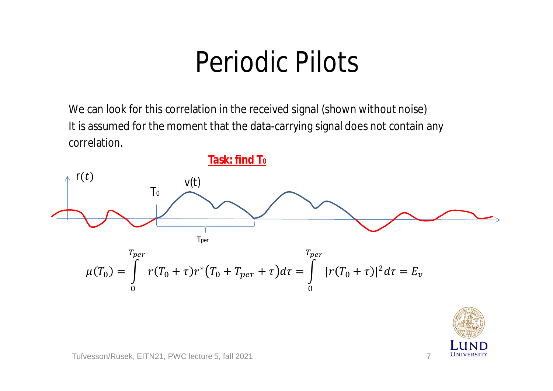We can look for this correlation in the received signal (shown without noise) It is assumed for the moment that the data-carrying signal does not contain any correlation.



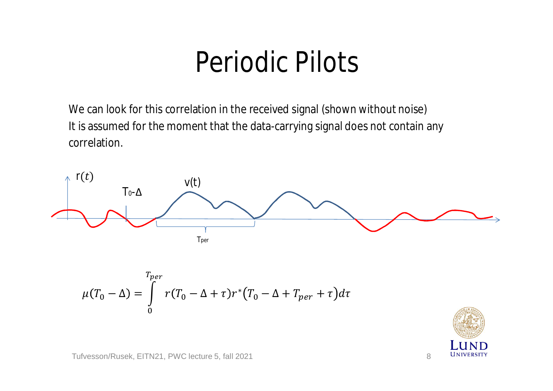We can look for this correlation in the received signal (shown without noise) It is assumed for the moment that the data-carrying signal does not contain any correlation.



$$
\mu(T_0 - \Delta) = \int_0^{T_{per}} r(T_0 - \Delta + \tau) r^* (T_0 - \Delta + T_{per} + \tau) d\tau
$$

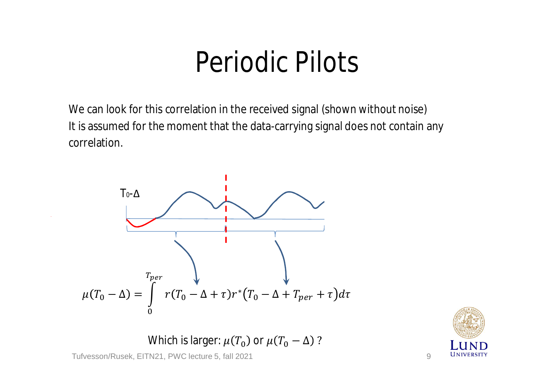We can look for this correlation in the received signal (shown without noise) It is assumed for the moment that the data-carrying signal does not contain any correlation.



Which is larger:  $\mu(T_0)$  or  $\mu(T_0 - \Delta)$ ?

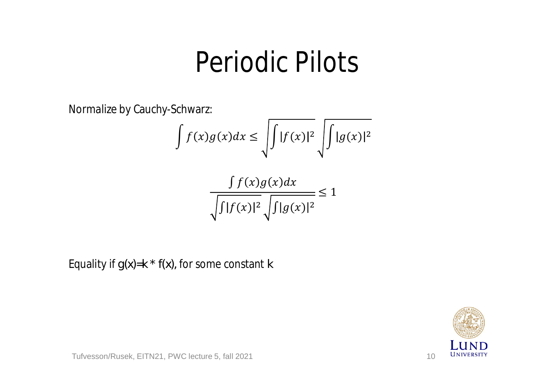Normalize by Cauchy-Schwarz:

$$
\int f(x)g(x)dx \le \sqrt{\int |f(x)|^2} \sqrt{\int |g(x)|^2}
$$

$$
\frac{\int f(x)g(x)dx}{\sqrt{\int |f(x)|^2} \sqrt{\int |g(x)|^2}} \le 1
$$

Equality if *g(x)=k \* f(x),* for some constant *k*

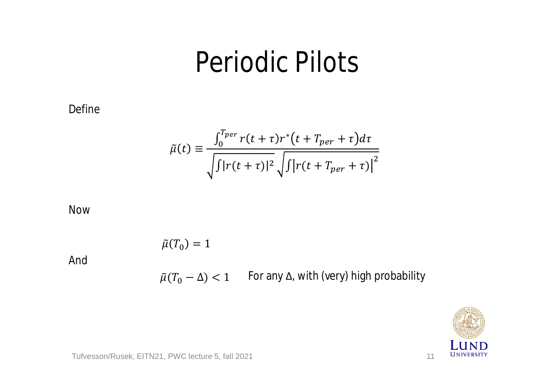Define

$$
\tilde{\mu}(t) \equiv \frac{\int_0^{T_{per}} r(t+\tau) r^*(t+T_{per}+\tau) d\tau}{\sqrt{\int |r(t+\tau)|^2} \sqrt{\int |r(t+T_{per}+\tau)|^2}}
$$

Now

And

 $\tilde{\mu}(T_0) = 1$  $\tilde{\mu}(T_0-\Delta) < 1$  For any  $\Delta$ , with (very) high probability

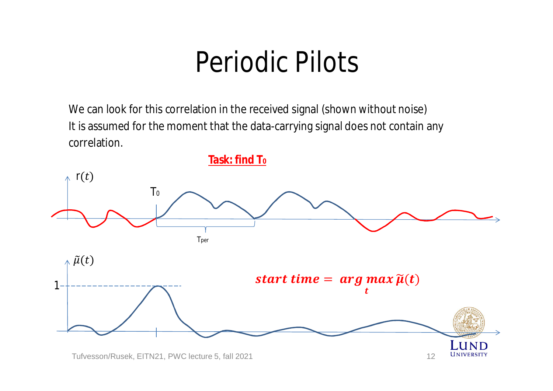We can look for this correlation in the received signal (shown without noise) It is assumed for the moment that the data-carrying signal does not contain any correlation.

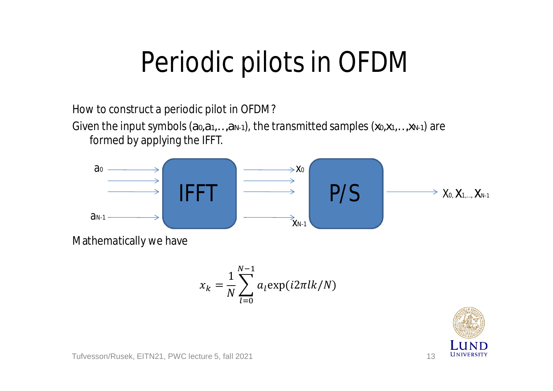How to construct a periodic pilot in OFDM?

Given the input symbols (*a0,a1,…,aN-1*), the transmitted samples (*x0,x1,…,xN-1*) are formed by applying the IFFT.



Mathematically we have

$$
x_k = \frac{1}{N} \sum_{l=0}^{N-1} a_l \exp(i2\pi lk/N)
$$

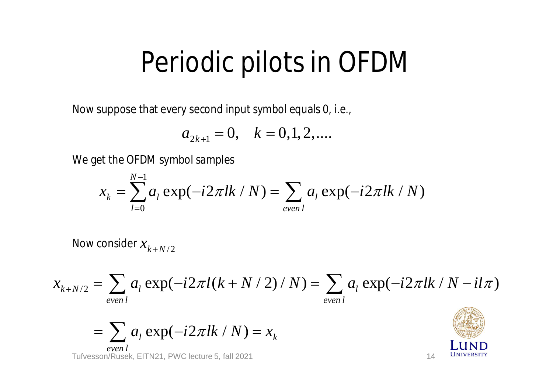Now suppose that every second input symbol equals 0, i.e.,

$$
a_{2k+1} = 0, \quad k = 0, 1, 2, \dots
$$

We get the OFDM symbol samples

$$
x_k = \sum_{l=0}^{N-1} a_l \exp(-i2\pi lk / N) = \sum_{even l} a_l \exp(-i2\pi lk / N)
$$

Now consider  $x_{k+N/2}$ 

$$
x_{k+N/2} = \sum_{even \ l} a_l \exp(-i2\pi l(k+N/2)/N) = \sum_{even \ l} a_l \exp(-i2\pi lk/N - il\pi)
$$

$$
= \sum_{even \, l} a_l \exp(-i2\pi lk / N) = x_k
$$

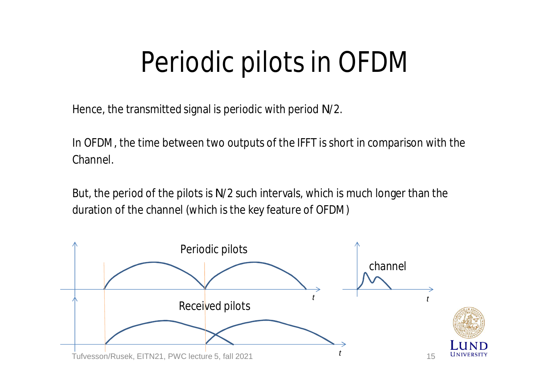Hence, the transmitted signal is periodic with period *N*/2.

In OFDM, the time between two outputs of the IFFT is short in comparison with the Channel.

But, the period of the pilots is *N*/2 such intervals, which is much longer than the duration of the channel (which is the key feature of OFDM)

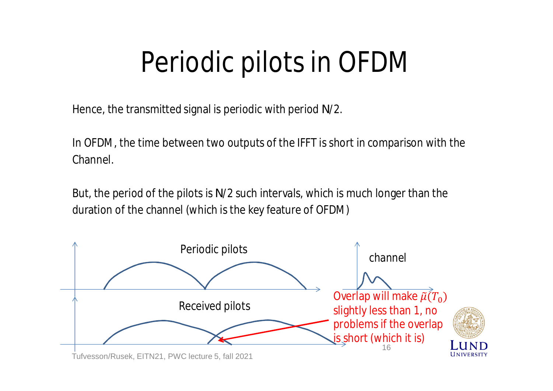Hence, the transmitted signal is periodic with period *N*/2.

In OFDM, the time between two outputs of the IFFT is short in comparison with the Channel.

But, the period of the pilots is *N*/2 such intervals, which is much longer than the duration of the channel (which is the key feature of OFDM)

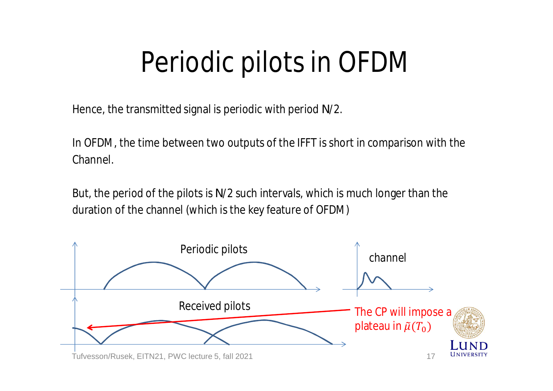Hence, the transmitted signal is periodic with period *N*/2.

In OFDM, the time between two outputs of the IFFT is short in comparison with the Channel.

But, the period of the pilots is *N*/2 such intervals, which is much longer than the duration of the channel (which is the key feature of OFDM)

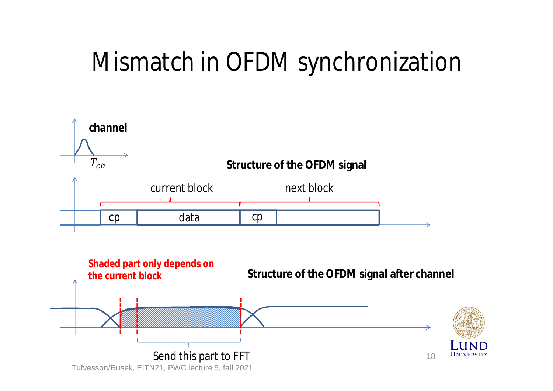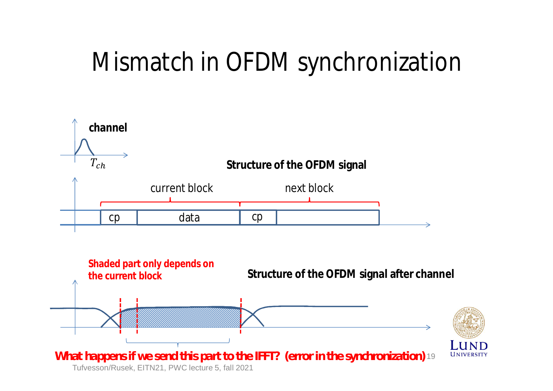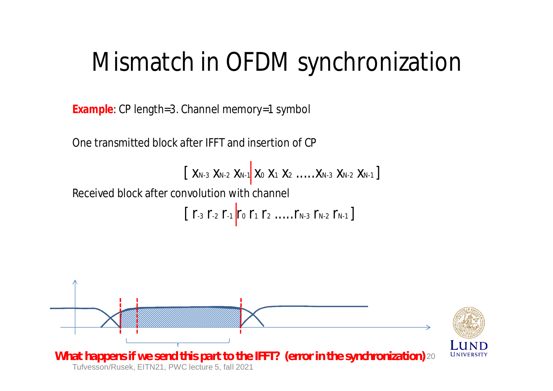**Example**: CP length=3. Channel memory=1 symbol

One transmitted block after IFFT and insertion of CP

$$
\left[\begin{array}{cccccc|c} X_{N-3} & X_{N-2} & X_{N-1} & X_0 & X_1 & X_2 & \ldots & X_{N-3} & X_{N-2} & X_{N-1}\end{array}\right]
$$

Received block after convolution with channel

$$
\left[\begin{array}{ccc|ccc}r_{-3} & r_{-2} & r_{-1} & r_{0} & r_{1} & r_{2} & \ldots & r_{N-3} & r_{N-2} & r_{N-1}\end{array}\right]
$$

![](_page_19_Figure_6.jpeg)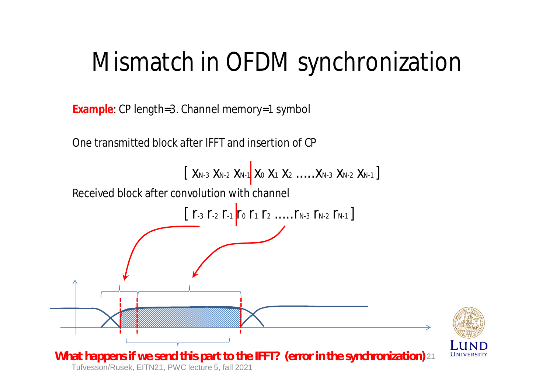**Example**: CP length=3. Channel memory=1 symbol

One transmitted block after IFFT and insertion of CP

![](_page_20_Figure_3.jpeg)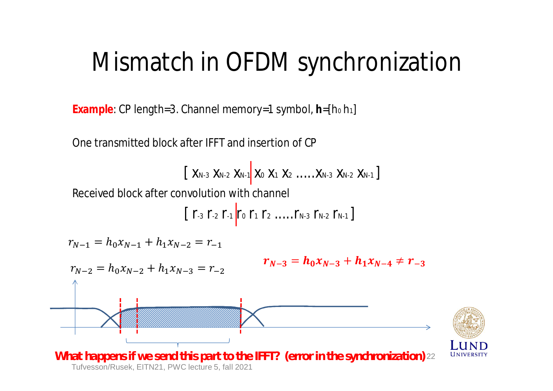**Example**: CP length=3. Channel memory=1 symbol, **h**=[h<sup>0</sup> h1]

One transmitted block after IFFT and insertion of CP

$$
\left[\begin{array}{cccccc|c} X_{N-3} & X_{N-2} & X_{N-1} & X_0 & X_1 & X_2 & \ldots & X_{N-3} & X_{N-2} & X_{N-1}\end{array}\right]
$$

Received block after convolution with channel

$$
\left[\begin{array}{ccc|ccc}r_{-3} & r_{-2} & r_{-1} & r_{0} & r_{1} & r_{2} & \ldots & r_{N-3} & r_{N-2} & r_{N-1}\end{array}\right]
$$

$$
r_{N-1} = h_0 x_{N-1} + h_1 x_{N-2} = r_{-1}
$$

$$
r_{N-2} = h_0 x_{N-2} + h_1 x_{N-3} = r_{-2}
$$
\n\nWhat happens if we send this part to the IFFT? (error in the synchronization)

\n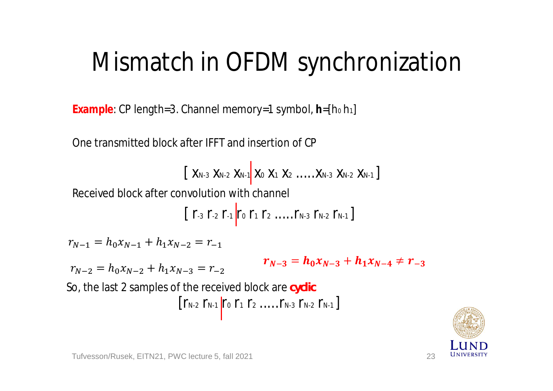**Example**: CP length=3. Channel memory=1 symbol, **h**=[h<sup>0</sup> h1]

One transmitted block after IFFT and insertion of CP

$$
\left[\begin{array}{cccccc|c} X_{N-3} & X_{N-2} & X_{N-1} & X_0 & X_1 & X_2 & \ldots & X_{N-3} & X_{N-2} & X_{N-1}\end{array}\right]
$$

Received block after convolution with channel

$$
\left[\begin{array}{ccc|ccc}r_{-3} & r_{-2} & r_{-1} & r_{0} & r_{1} & r_{2} & \ldots & r_{N-3} & r_{N-2} & r_{N-1}\end{array}\right]
$$

$$
r_{N-1} = h_0 x_{N-1} + h_1 x_{N-2} = r_{-1}
$$

$$
r_{N-2} = h_0 x_{N-2} + h_1 x_{N-3} = r_{-2}
$$

$$
r_{N-3}=h_0x_{N-3}+h_1x_{N-4}\neq r_{-3}
$$

 $\left[ \Gamma_{N-2} \Gamma_{N-1} \right]$   $\Gamma_0 \Gamma_1 \Gamma_2 \dots \Gamma_{N-3} \Gamma_{N-2} \Gamma_{N-1} \right]$ So, the last 2 samples of the received block are *cyclic*

![](_page_22_Picture_10.jpeg)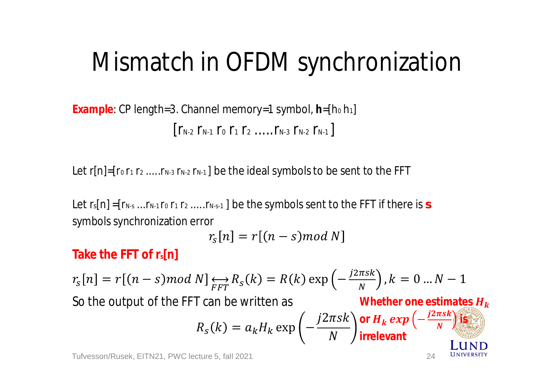**Example**: CP length=3. Channel memory=1 symbol, **h**=[h<sup>0</sup> h1]  $[r_{N-2} r_{N-1} r_0 r_1 r_2 ... r_{N-3} r_{N-2} r_{N-1}]$ 

Let  $r[n] = [r_0 r_1 r_2 ... r_{N-3} r_{N-2} r_{N-1}]$  be the ideal symbols to be sent to the FFT

Let r<sub>s</sub>[n] =[r<sub>N-s</sub> ...r<sub>N-1</sub> r<sub>0</sub> r<sub>1</sub> r<sub>2</sub> .....r<sub>N-s-1</sub>] be the symbols sent to the FFT if there is *s* symbols synchronization error

$$
r_{\rm s}[n] = r[(n - s) \mod N]
$$

**Take the FFT of rs[n]**

$$
r_s[n] = r[(n - s)mod N] \underset{FFT}{\longleftrightarrow} R_s(k) = R(k) \exp\left(-\frac{j2\pi sk}{N}\right), k = 0 \dots N - 1
$$
  
So the output of the FFT can be written as  

$$
R_s(k) = a_k H_k \exp\left(-\frac{j2\pi sk}{N}\right) \text{ or } H_k \exp\left(-\frac{j2\pi sk}{N}\right)
$$

**IINIVERSITY**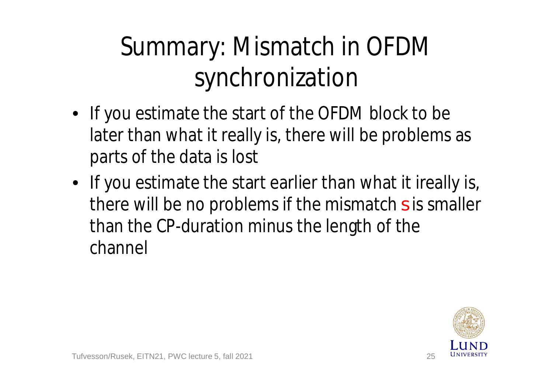## Summary: Mismatch in OFDM synchronization

- If you estimate the start of the OFDM block to be later than what it really is, there will be problems as parts of the data is lost
- If you estimate the start earlier than what it ireally is, there will be no problems if the mismatch *s* is smaller than the CP-duration minus the length of the channel

![](_page_24_Picture_3.jpeg)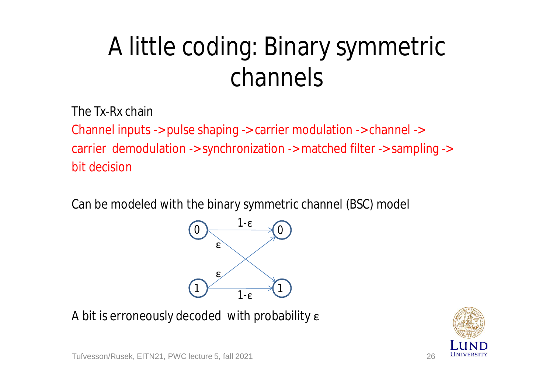## A little coding: Binary symmetric channels

The Tx-Rx chain

Channel inputs -> pulse shaping -> carrier modulation -> channel -> carrier demodulation -> synchronization -> matched filter -> sampling -> bit decision

Can be modeled with the binary symmetric channel (BSC) model

![](_page_25_Figure_4.jpeg)

A bit is erroneously decoded with probability ε

![](_page_25_Picture_6.jpeg)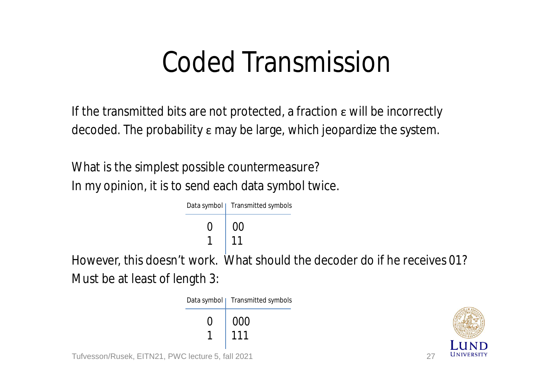## Coded Transmission

If the transmitted bits are not protected, a fraction  $\varepsilon$  will be incorrectly decoded. The probability ε may be large, which jeopardize the system.

What is the simplest possible countermeasure? In my opinion, it is to send each data symbol twice.

![](_page_26_Figure_3.jpeg)

Must be at least of length 3:

 $0 \mid 000$ 1 111 Data symbol | Transmitted symbols Tufvesson/Rusek, EITN21, PWC lecture 5, fall 2021 27

![](_page_26_Picture_6.jpeg)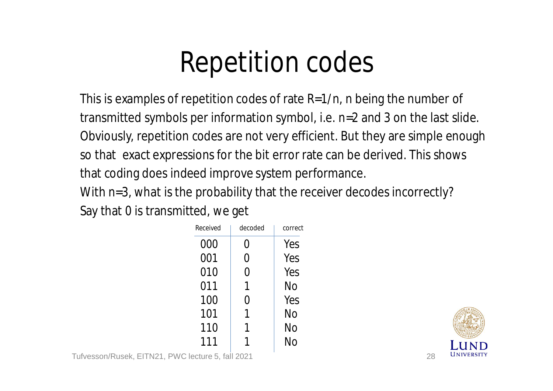## Repetition codes

This is examples of repetition codes of rate R=1/n, n being the number of transmitted symbols per information symbol, i.e. n=2 and 3 on the last slide. Obviously, repetition codes are not very efficient. But they are simple enough so that exact expressions for the bit error rate can be derived. This shows that coding does indeed improve system performance.

With n=3, what is the probability that the receiver decodes incorrectly? Say that 0 is transmitted, we get

| Received | decoded          | correct |
|----------|------------------|---------|
| 000      | $\left( \right)$ | Yes     |
| 001      | 0                | Yes     |
| 010      | 0                | Yes     |
| 011      | 1                | No      |
| 100      | $\left( \right)$ | Yes     |
| 101      | 1                | No      |
| 110      |                  | No      |
| 111      |                  | No      |

![](_page_27_Picture_4.jpeg)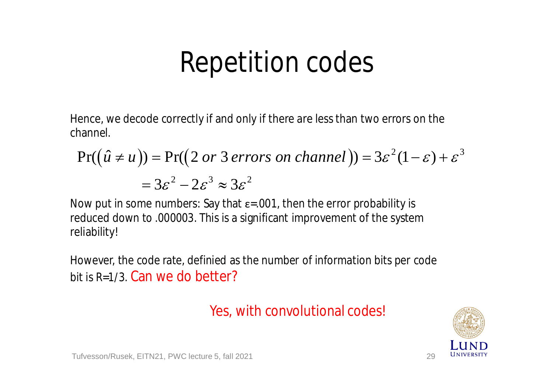### Repetition codes

Hence, we decode correctly if and only if there are less than two errors on the channel.

$$
Pr((\hat{u} \neq u)) = Pr((2 \text{ or } 3 \text{ errors on channel})) = 3\varepsilon^{2}(1-\varepsilon) + \varepsilon^{3}
$$

$$
= 3\varepsilon^{2} - 2\varepsilon^{3} \approx 3\varepsilon^{2}
$$

Now put in some numbers: Say that  $\varepsilon$ =.001, then the error probability is reduced down to .000003. This is a significant improvement of the system reliability!

However, the code rate, definied as the number of information bits per code bit is R=1/3. Can we do better?

#### Yes, with convolutional codes!

![](_page_28_Picture_6.jpeg)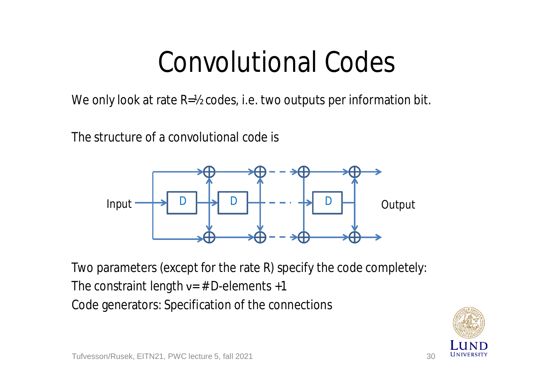## Convolutional Codes

We only look at rate R=1/2 codes, i.e. two outputs per information bit.

The structure of a convolutional code is

![](_page_29_Figure_3.jpeg)

Two parameters (except for the rate R) specify the code completely: The constraint length  $v=$  # D-elements +1 Code generators: Specification of the connections

![](_page_29_Picture_5.jpeg)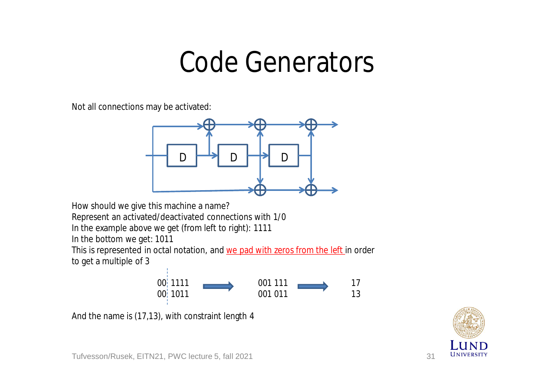#### Code Generators

Not all connections may be activated:

![](_page_30_Figure_2.jpeg)

How should we give this machine a name?

Represent an activated/deactivated connections with 1/0

In the example above we get (from left to right): 1111

In the bottom we get: 1011

This is represented in octal notation, and we pad with zeros from the left in order to get a multiple of 3

![](_page_30_Figure_8.jpeg)

And the name is (17,13), with constraint length 4

![](_page_30_Picture_10.jpeg)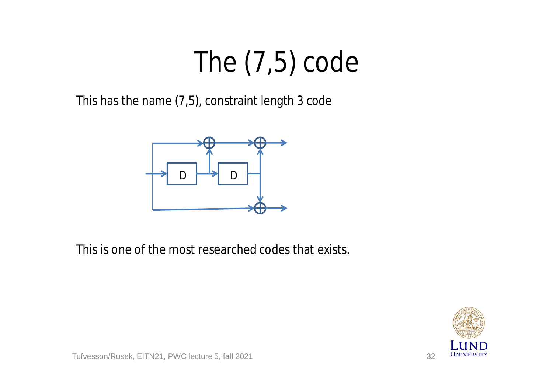# The (7,5) code

This has the name (7,5), constraint length 3 code

![](_page_31_Figure_2.jpeg)

This is one of the most researched codes that exists.

![](_page_31_Picture_4.jpeg)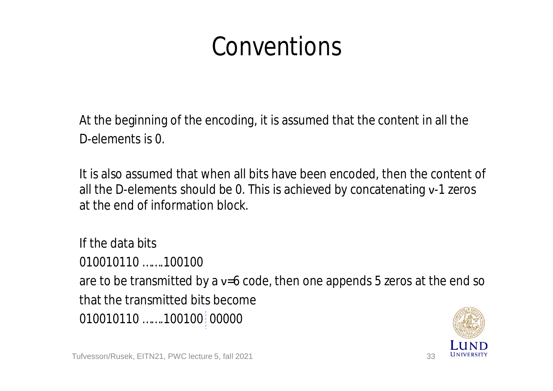#### Conventions

At the beginning of the encoding, it is assumed that the content in all the D-elements is 0.

It is also assumed that when all bits have been encoded, then the content of all the D-elements should be 0. This is achieved by concatenating ν-1 zeros at the end of information block.

If the data bits 010010110 …….100100 are to be transmitted by a v=6 code, then one appends 5 zeros at the end so that the transmitted bits become 010010110 …….100100 00000

![](_page_32_Picture_4.jpeg)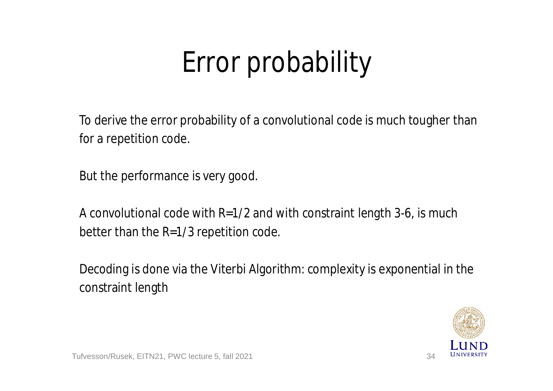# Error probability

To derive the error probability of a convolutional code is much tougher than for a repetition code.

But the performance is very good.

A convolutional code with R=1/2 and with constraint length 3-6, is much better than the R=1/3 repetition code.

Decoding is done via the Viterbi Algorithm: complexity is exponential in the constraint length

![](_page_33_Picture_5.jpeg)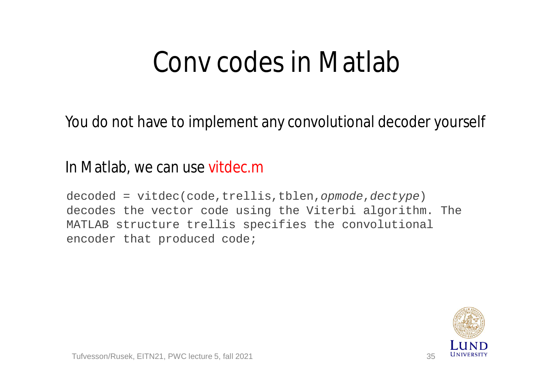## Conv codes in Matlab

You do not have to implement any convolutional decoder yourself

#### In Matlab, we can use vitdec.m

decoded = vitdec(code,trellis,tblen,*opmode*,*dectype*) decodes the vector code using the Viterbi algorithm. The MATLAB structure trellis specifies the convolutional encoder that produced code;

![](_page_34_Picture_4.jpeg)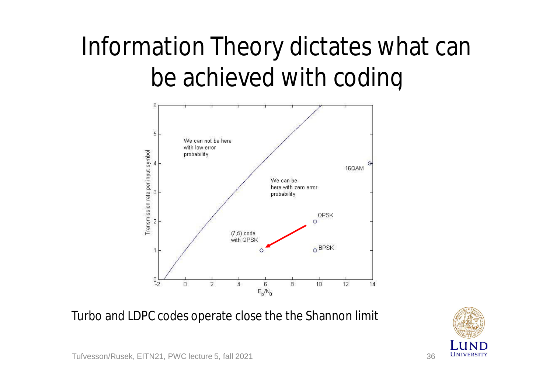### Information Theory dictates what can be achieved with coding

![](_page_35_Figure_1.jpeg)

Turbo and LDPC codes operate close the the Shannon limit

![](_page_35_Picture_3.jpeg)